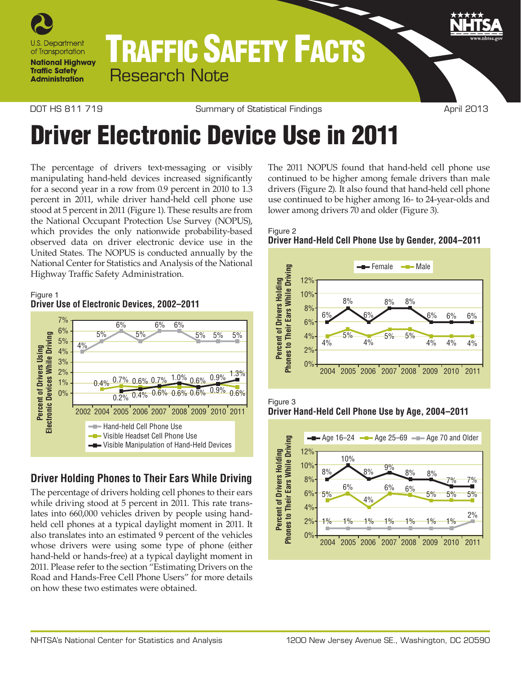

# TRAFFIC SAFETY FACTS Research Note

Figure 1

DOT HS 811 719 Commary of Statistical Findings Command April 2013

# Driver Electronic Device Use in 2011

The percentage of drivers text-messaging or visibly manipulating hand-held devices increased significantly for a second year in a row from 0.9 percent in 2010 to 1.3 percent in 2011, while driver hand-held cell phone use stood at 5 percent in 2011 (Figure 1). These results are from the National Occupant Protection Use Survey (NOPUS), which provides the only nationwide probability-based observed data on driver electronic device use in the United States. The NOPUS is conducted annually by the National Center for Statistics and Analysis of the National Highway Traffic Safety Administration.



# **Driver Holding Phones to Their Ears While Driving**

The percentage of drivers holding cell phones to their ears while driving stood at 5 percent in 2011. This rate translates into 660,000 vehicles driven by people using handheld cell phones at a typical daylight moment in 2011. It also translates into an estimated 9 percent of the vehicles whose drivers were using some type of phone (either hand-held or hands-free) at a typical daylight moment in 2011. Please refer to the section "Estimating Drivers on the Road and Hands-Free Cell Phone Users" for more details on how these two estimates were obtained.

The 2011 NOPUS found that hand-held cell phone use continued to be higher among female drivers than male drivers (Figure 2). It also found that hand-held cell phone use continued to be higher among 16- to 24-year-olds and lower among drivers 70 and older (Figure 3).











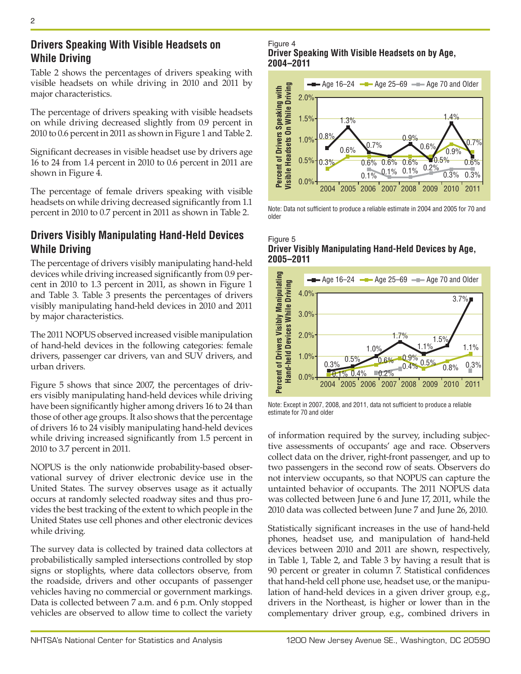Table 2 shows the percentages of drivers speaking with visible headsets on while driving in 2010 and 2011 by major characteristics.

The percentage of drivers speaking with visible headsets on while driving decreased slightly from 0.9 percent in 2010 to 0.6 percent in 2011 as shown in Figure 1 and Table 2.

Significant decreases in visible headset use by drivers age 16 to 24 from 1.4 percent in 2010 to 0.6 percent in 2011 are shown in Figure 4.

The percentage of female drivers speaking with visible headsets on while driving decreased significantly from 1.1 percent in 2010 to 0.7 percent in 2011 as shown in Table 2.

## **Drivers Visibly Manipulating Hand-Held Devices While Driving**

The percentage of drivers visibly manipulating hand-held devices while driving increased significantly from 0.9 percent in 2010 to 1.3 percent in 2011, as shown in Figure 1 and Table 3. Table 3 presents the percentages of drivers visibly manipulating hand-held devices in 2010 and 2011 by major characteristics.

The 2011 NOPUS observed increased visible manipulation of hand-held devices in the following categories: female drivers, passenger car drivers, van and SUV drivers, and urban drivers.

Figure 5 shows that since 2007, the percentages of drivers visibly manipulating hand-held devices while driving have been significantly higher among drivers 16 to 24 than those of other age groups. It also shows that the percentage of drivers 16 to 24 visibly manipulating hand-held devices while driving increased significantly from 1.5 percent in 2010 to 3.7 percent in 2011.

NOPUS is the only nationwide probability-based observational survey of driver electronic device use in the United States. The survey observes usage as it actually occurs at randomly selected roadway sites and thus provides the best tracking of the extent to which people in the United States use cell phones and other electronic devices while driving.

The survey data is collected by trained data collectors at probabilistically sampled intersections controlled by stop signs or stoplights, where data collectors observe, from the roadside, drivers and other occupants of passenger vehicles having no commercial or government markings. Data is collected between 7 a.m. and 6 p.m. Only stopped vehicles are observed to allow time to collect the variety

Figure 4 **Driver Speaking With Visible Headsets on by Age, 2004–2011**



Note: Data not sufficient to produce a reliable estimate in 2004 and 2005 for 70 and older

#### Figure 5 **Driver Visibly Manipulating Hand-Held Devices by Age, 2005–2011**



Note: Except in 2007, 2008, and 2011, data not sufficient to produce a reliable estimate for 70 and older

of information required by the survey, including subjective assessments of occupants' age and race. Observers collect data on the driver, right-front passenger, and up to two passengers in the second row of seats. Observers do not interview occupants, so that NOPUS can capture the untainted behavior of occupants. The 2011 NOPUS data was collected between June 6 and June 17, 2011, while the 2010 data was collected between June 7 and June 26, 2010.

Statistically significant increases in the use of hand-held phones, headset use, and manipulation of hand-held devices between 2010 and 2011 are shown, respectively, in Table 1, Table 2, and Table 3 by having a result that is 90 percent or greater in column 7. Statistical confidences that hand-held cell phone use, headset use, or the manipulation of hand-held devices in a given driver group, e.g., drivers in the Northeast, is higher or lower than in the complementary driver group, e.g., combined drivers in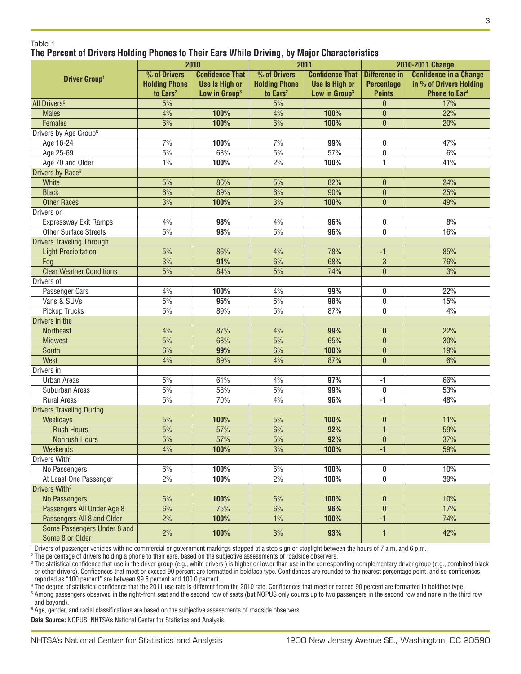#### Table 1 **The Percent of Drivers Holding Phones to Their Ears While Driving, by Major Characteristics**

|                                    | 2010                 |                           | 2011                 |                           | 2010-2011 Change                 |                               |
|------------------------------------|----------------------|---------------------------|----------------------|---------------------------|----------------------------------|-------------------------------|
| <b>Driver Group1</b>               | % of Drivers         | <b>Confidence That</b>    | % of Drivers         | <b>Confidence That</b>    | <b>Difference in</b>             | <b>Confidence in a Change</b> |
|                                    | <b>Holding Phone</b> | <b>Use Is High or</b>     | <b>Holding Phone</b> | <b>Use Is High or</b>     | <b>Percentage</b>                | in % of Drivers Holding       |
|                                    | to Ears <sup>2</sup> | Low in Group <sup>3</sup> | to Ears <sup>2</sup> | Low in Group <sup>3</sup> | <b>Points</b>                    | <b>Phone to Ear4</b>          |
| All Drivers <sup>6</sup>           | 5%                   |                           | 5%                   |                           | $\overline{0}$                   | 17%                           |
| <b>Males</b>                       | 4%                   | 100%                      | 4%                   | 100%                      | $\pmb{0}$                        | $\overline{22\%}$             |
| Females                            | 6%                   | 100%                      | 6%                   | 100%                      | $\overline{0}$                   | 20%                           |
| Drivers by Age Group <sup>6</sup>  |                      |                           |                      |                           |                                  |                               |
| Age 16-24                          | 7%                   | 100%                      | 7%                   | 99%                       | 0                                | 47%                           |
| Age 25-69                          | $5\%$                | 68%                       | $5\%$                | 57%                       | 0                                | 6%                            |
| Age 70 and Older                   | 1%                   | 100%                      | 2%                   | 100%                      | 1                                | 41%                           |
| Drivers by Race <sup>6</sup>       |                      |                           |                      |                           |                                  |                               |
| White                              | 5%                   | 86%                       | 5%                   | 82%                       | $\mathbf{0}$                     | 24%                           |
| <b>Black</b>                       | 6%                   | 89%                       | 6%                   | 90%                       | $\mathbf{0}$                     | 25%                           |
| <b>Other Races</b>                 | 3%                   | 100%                      | 3%                   | 100%                      | $\mathbf{0}$                     | 49%                           |
| Drivers on                         |                      |                           |                      |                           |                                  |                               |
| Expressway Exit Ramps              | 4%                   | 98%                       | 4%                   | 96%                       | 0                                | 8%                            |
| <b>Other Surface Streets</b>       | $5\%$                | 98%                       | $5\%$                | 96%                       | 0                                | 16%                           |
| <b>Drivers Traveling Through</b>   |                      |                           |                      |                           |                                  |                               |
| <b>Light Precipitation</b>         | 5%                   | 86%                       | 4%                   | 78%                       | $-1$                             | 85%                           |
| Fog                                | 3%                   | 91%                       | 6%                   | 68%                       | $\overline{3}$                   | 76%                           |
| <b>Clear Weather Conditions</b>    | 5%                   | 84%                       | 5%                   | 74%                       | $\mathbf{0}$                     | 3%                            |
| Drivers of                         |                      |                           |                      |                           |                                  |                               |
| Passenger Cars                     | 4%                   | 100%                      | 4%                   | 99%                       | 0                                | 22%                           |
| Vans & SUVs                        | 5%                   | 95%                       | 5%                   | 98%                       | 0                                | 15%                           |
| Pickup Trucks                      | $5\%$                | 89%                       | $5\%$                | 87%                       | 0                                | 4%                            |
| Drivers in the                     | 4%                   | 87%                       |                      |                           |                                  | 22%                           |
| <b>Northeast</b><br><b>Midwest</b> | 5%                   | 68%                       | 4%<br>5%             | 99%<br>65%                | $\mathbf{0}$<br>$\mathbf{0}$     | 30%                           |
| South                              | 6%                   | 99%                       | 6%                   | 100%                      |                                  | 19%                           |
| West                               | 4%                   | 89%                       | 4%                   | 87%                       | $\boldsymbol{0}$<br>$\mathbf{0}$ | 6%                            |
| Drivers in                         |                      |                           |                      |                           |                                  |                               |
| <b>Urban Areas</b>                 | 5%                   | 61%                       | 4%                   | 97%                       | $-1$                             | 66%                           |
| Suburban Areas                     | 5%                   | 58%                       | $5\%$                | 99%                       | $\boldsymbol{0}$                 | 53%                           |
| <b>Rural Areas</b>                 | 5%                   | 70%                       | 4%                   | 96%                       | $\overline{\mathbf{H}}$          | 48%                           |
| <b>Drivers Traveling During</b>    |                      |                           |                      |                           |                                  |                               |
| Weekdays                           | 5%                   | 100%                      | 5%                   | 100%                      | $\mathbf{0}$                     | 11%                           |
| <b>Rush Hours</b>                  | 5%                   | $\frac{1}{57\%}$          | 6%                   | 92%                       | $\mathbf{1}$                     | 59%                           |
| <b>Nonrush Hours</b>               | $\overline{5\%}$     | $\frac{57\%}{ }$          | $5\%$                | 92%                       | $\pmb{0}$                        | $\frac{37}{%}$                |
| Weekends                           | 4%                   | 100%                      | 3%                   | 100%                      | $-1$                             | 59%                           |
| Drivers With <sup>5</sup>          |                      |                           |                      |                           |                                  |                               |
| No Passengers                      | 6%                   | 100%                      | 6%                   | 100%                      | 0                                | 10%                           |
| At Least One Passenger             | 2%                   | 100%                      | 2%                   | 100%                      | 0                                | 39%                           |
| Drivers With <sup>5</sup>          |                      |                           |                      |                           |                                  |                               |
| <b>No Passengers</b>               | 6%                   | 100%                      | 6%                   | 100%                      | $\pmb{0}$                        | 10%                           |
| Passengers All Under Age 8         | 6%                   | 75%                       | $6\%$                | 96%                       | $\boldsymbol{0}$                 | 17%                           |
| Passengers All 8 and Older         | 2%                   | 100%                      | $1\%$                | 100%                      | $-1$                             | 74%                           |
| Some Passengers Under 8 and        |                      |                           |                      |                           |                                  |                               |
| Some 8 or Older                    | 2%                   | 100%                      | 3%                   | 93%                       | $\mathbf{1}$                     | 42%                           |

1 Drivers of passenger vehicles with no commercial or government markings stopped at a stop sign or stoplight between the hours of 7 a.m. and 6 p.m.

2 The percentage of drivers holding a phone to their ears, based on the subjective assessments of roadside observers.

<sup>3</sup> The statistical confidence that use in the driver group (e.g., white drivers) is higher or lower than use in the corresponding complementary driver group (e.g., combined black or other drivers). Confidences that meet or exceed 90 percent are formatted in boldface type. Confidences are rounded to the nearest percentage point, and so confidences reported as "100 percent" are between 99.5 percent and 100.0 percent.

4 The degree of statistical confidence that the 2011 use rate is different from the 2010 rate. Confidences that meet or exceed 90 percent are formatted in boldface type.

<sup>5</sup> Among passengers observed in the right-front seat and the second row of seats (but NOPUS only counts up to two passengers in the second row and none in the third row and beyond).

 $^{\rm 6}$  Age, gender, and racial classifications are based on the subjective assessments of roadside observers.

**Data Source:** NOPUS, NHTSA's National Center for Statistics and Analysis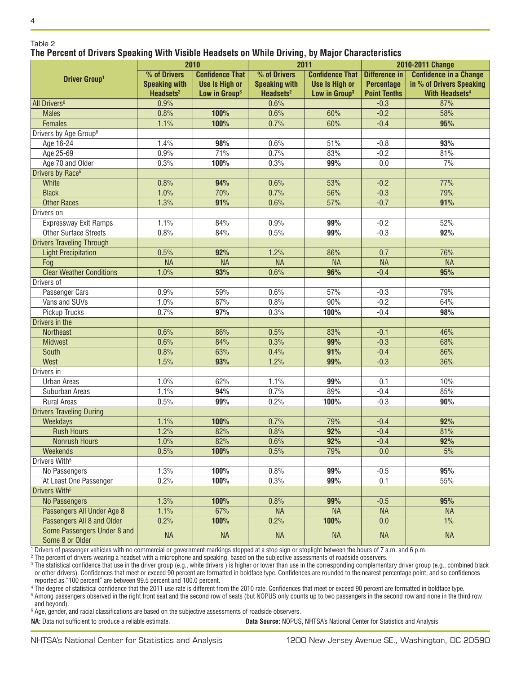#### Table 2 **The Percent of Drivers Speaking With Visible Headsets on While Driving, by Major Characteristics**

|                                                | 2010                  |                           | . .<br>2011           |                           | 2010-2011 Change     |                                  |
|------------------------------------------------|-----------------------|---------------------------|-----------------------|---------------------------|----------------------|----------------------------------|
|                                                | % of Drivers          | <b>Confidence That</b>    | % of Drivers          | <b>Confidence That</b>    | <b>Difference in</b> | <b>Confidence in a Change</b>    |
| <b>Driver Group1</b>                           | <b>Speaking with</b>  | <b>Use Is High or</b>     | <b>Speaking with</b>  | <b>Use Is High or</b>     | <b>Percentage</b>    | in % of Drivers Speaking         |
|                                                | Headsets <sup>2</sup> | Low in Group <sup>3</sup> | Headsets <sup>2</sup> | Low in Group <sup>3</sup> | <b>Point Tenths</b>  | <b>With Headsets<sup>4</sup></b> |
| All Drivers <sup>6</sup>                       | 0.9%                  |                           | 0.6%                  |                           | $-0.3$               | 87%                              |
| <b>Males</b>                                   | 0.8%                  | 100%                      | 0.6%                  | 60%                       | $-0.2$               | 58%                              |
| Females                                        | 1.1%                  | 100%                      | 0.7%                  | 60%                       | $-0.4$               | 95%                              |
| Drivers by Age Group <sup>6</sup>              |                       |                           |                       |                           |                      |                                  |
| Age 16-24                                      | 1.4%                  | 98%                       | 0.6%                  | 51%                       | $-0.8$               | 93%                              |
| Age 25-69                                      | 0.9%                  | 71%                       | 0.7%                  | 83%                       | $-0.2$               | 81%                              |
| Age 70 and Older                               | 0.3%                  | 100%                      | 0.3%                  | 99%                       | 0.0                  | 7%                               |
| Drivers by Race <sup>6</sup>                   |                       |                           |                       |                           |                      |                                  |
| White                                          | 0.8%                  | 94%                       | 0.6%                  | 53%                       | $-0.2$               | 77%                              |
| <b>Black</b>                                   | 1.0%                  | 70%                       | 0.7%                  | 56%                       | $-0.3$               | 79%                              |
| <b>Other Races</b>                             | 1.3%                  | 91%                       | 0.6%                  | 57%                       | $-0.7$               | 91%                              |
| Drivers on                                     |                       |                           |                       |                           |                      |                                  |
| Expressway Exit Ramps                          | 1.1%                  | 84%                       | 0.9%                  | 99%                       | $-0.2$               | 52%                              |
| <b>Other Surface Streets</b>                   | 0.8%                  | 84%                       | 0.5%                  | 99%                       | $-0.3$               | 92%                              |
| <b>Drivers Traveling Through</b>               |                       |                           |                       |                           |                      |                                  |
| <b>Light Precipitation</b>                     | 0.5%                  | 92%                       | 1.2%                  | 86%                       | 0.7                  | 76%                              |
| Fog                                            | <b>NA</b>             | <b>NA</b>                 | <b>NA</b>             | <b>NA</b>                 | <b>NA</b>            | <b>NA</b>                        |
| <b>Clear Weather Conditions</b>                | 1.0%                  | 93%                       | 0.6%                  | 96%                       | $-0.4$               | 95%                              |
| Drivers of                                     |                       |                           |                       |                           |                      |                                  |
| Passenger Cars                                 | 0.9%                  | 59%                       | 0.6%                  | 57%                       | $-0.3$               | 79%                              |
| Vans and SUVs                                  | 1.0%                  | 87%                       | 0.8%                  | 90%                       | $-0.2$               | 64%                              |
| Pickup Trucks                                  | 0.7%                  | 97%                       | 0.3%                  | 100%                      | $-0.4$               | 98%                              |
| Drivers in the                                 |                       |                           |                       |                           |                      |                                  |
| <b>Northeast</b>                               | 0.6%                  | 86%                       | 0.5%                  | 83%                       | $-0.1$               | 46%                              |
| <b>Midwest</b>                                 | 0.6%                  | 84%                       | 0.3%                  | 99%                       | $-0.3$               | 68%                              |
| South                                          | 0.8%                  | 63%                       | 0.4%                  | 91%                       | $-0.4$               | 86%                              |
| West                                           | 1.5%                  | 93%                       | 1.2%                  | 99%                       | $-0.3$               | 36%                              |
| Drivers in                                     |                       |                           |                       |                           |                      |                                  |
| <b>Urban Areas</b>                             | 1.0%                  | 62%                       | 1.1%                  | 99%                       | 0.1                  | 10%                              |
| Suburban Areas                                 | 1.1%                  | 94%                       | 0.7%                  | 89%                       | $-0.4$               | 85%                              |
| <b>Rural Areas</b>                             | 0.5%                  | 99%                       | 0.2%                  | 100%                      | $-0.3$               | 90%                              |
| <b>Drivers Traveling During</b>                |                       |                           |                       |                           |                      |                                  |
| Weekdays                                       | 1.1%                  | 100%                      | 0.7%                  | 79%                       | $-0.4$               | 92%                              |
| <b>Rush Hours</b>                              | 1.2%                  | 82%                       | 0.8%                  | 92%                       | $-0.4$               | 81%                              |
| <b>Nonrush Hours</b>                           | 1.0%                  | 82%                       | 0.6%                  | 92%                       | $-0.4$               | 92%                              |
| Weekends                                       | 0.5%                  | 100%                      | 0.5%                  | 79%                       | 0.0                  | 5%                               |
| Drivers With <sup>5</sup>                      |                       |                           |                       |                           |                      |                                  |
| No Passengers                                  | 1.3%                  | 100%                      | 0.8%                  | 99%                       | $-0.5$               | 95%                              |
| At Least One Passenger                         | 0.2%                  | 100%                      | 0.3%                  | 99%                       | 0.1                  | 55%                              |
| Drivers With <sup>5</sup>                      |                       |                           |                       |                           |                      |                                  |
| <b>No Passengers</b>                           | 1.3%                  | 100%                      | 0.8%                  | 99%                       | $-0.5$               | 95%                              |
| Passengers All Under Age 8                     | 1.1%                  | 67%                       | <b>NA</b>             | <b>NA</b>                 | <b>NA</b>            | <b>NA</b>                        |
| Passengers All 8 and Older                     | 0.2%                  | 100%                      | 0.2%                  | 100%                      | 0.0                  | 1%                               |
| Some Passengers Under 8 and<br>Some 8 or Older | <b>NA</b>             | <b>NA</b>                 | <b>NA</b>             | <b>NA</b>                 | <b>NA</b>            | <b>NA</b>                        |

1 Drivers of passenger vehicles with no commercial or government markings stopped at a stop sign or stoplight between the hours of 7 a.m. and 6 p.m.

2 The percent of drivers wearing a headset with a microphone and speaking, based on the subjective assessments of roadside observers.

<sup>3</sup> The statistical confidence that use in the driver group (e.g., white drivers) is higher or lower than use in the corresponding complementary driver group (e.g., combined black or other drivers). Confidences that meet or exceed 90 percent are formatted in boldface type. Confidences are rounded to the nearest percentage point, and so confidences reported as "100 percent" are between 99.5 percent and 100.0 percent.

4 The degree of statistical confidence that the 2011 use rate is different from the 2010 rate. Confidences that meet or exceed 90 percent are formatted in boldface type.

<sup>5</sup> Among passengers observed in the right front seat and the second row of seats (but NOPUS only counts up to two passengers in the second row and none in the third row and beyond).

 $^{\rm 6}$  Age, gender, and racial classifications are based on the subjective assessments of roadside observers.

**NA:** Data not sufficient to produce a reliable estimate. **Data Source:** NOPUS, NHTSA's National Center for Statistics and Analysis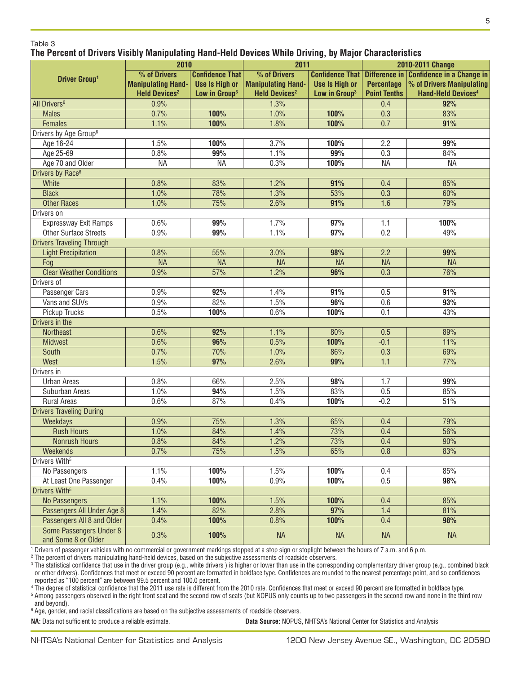#### Table 3

#### **The Percent of Drivers Visibly Manipulating Hand-Held Devices While Driving, by Major Characteristics**

|                                   | 2010                            |                           | 2011                            |                           | 2010-2011 Change    |                                                             |
|-----------------------------------|---------------------------------|---------------------------|---------------------------------|---------------------------|---------------------|-------------------------------------------------------------|
| <b>Driver Group1</b>              | % of Drivers                    | <b>Confidence That</b>    | % of Drivers                    |                           |                     | Confidence That   Difference in   Confidence in a Change in |
|                                   | <b>Manipulating Hand-</b>       | <b>Use Is High or</b>     | <b>Manipulating Hand-</b>       | <b>Use Is High or</b>     | <b>Percentage</b>   | % of Drivers Manipulating                                   |
|                                   | <b>Held Devices<sup>2</sup></b> | Low in Group <sup>3</sup> | <b>Held Devices<sup>2</sup></b> | Low in Group <sup>3</sup> | <b>Point Tenths</b> | <b>Hand-Held Devices4</b>                                   |
| All Drivers <sup>6</sup>          | 0.9%                            |                           | 1.3%                            |                           | 0.4                 | 92%                                                         |
| <b>Males</b>                      | 0.7%                            | 100%                      | 1.0%                            | 100%                      | 0.3                 | 83%                                                         |
| <b>Females</b>                    | 1.1%                            | 100%                      | 1.8%                            | 100%                      | $\overline{0.7}$    | 91%                                                         |
| Drivers by Age Group <sup>6</sup> |                                 |                           |                                 |                           |                     |                                                             |
| Age 16-24                         | 1.5%                            | 100%                      | 3.7%                            | 100%                      | 2.2                 | 99%                                                         |
| Age 25-69                         | 0.8%                            | 99%                       | 1.1%                            | 99%                       | 0.3                 | 84%                                                         |
| Age 70 and Older                  | <b>NA</b>                       | <b>NA</b>                 | 0.3%                            | 100%                      | <b>NA</b>           | <b>NA</b>                                                   |
| Drivers by Race <sup>6</sup>      |                                 |                           |                                 |                           |                     |                                                             |
| White                             | 0.8%                            | 83%                       | 1.2%                            | 91%                       | 0.4                 | 85%                                                         |
| <b>Black</b>                      | 1.0%                            | 78%                       | 1.3%                            | 53%                       | 0.3                 | 60%                                                         |
| <b>Other Races</b>                | 1.0%                            | 75%                       | 2.6%                            | 91%                       | 1.6                 | 79%                                                         |
| Drivers on                        |                                 |                           |                                 |                           |                     |                                                             |
| Expressway Exit Ramps             | 0.6%                            | 99%                       | 1.7%                            | 97%                       | 1.1                 | 100%                                                        |
| <b>Other Surface Streets</b>      | 0.9%                            | 99%                       | 1.1%                            | 97%                       | 0.2                 | 49%                                                         |
| <b>Drivers Traveling Through</b>  |                                 |                           |                                 |                           |                     |                                                             |
| <b>Light Precipitation</b>        | 0.8%                            | 55%                       | 3.0%                            | 98%                       | 2.2                 | 99%                                                         |
| Fog                               | <b>NA</b>                       | <b>NA</b>                 | <b>NA</b>                       | <b>NA</b>                 | <b>NA</b>           | <b>NA</b>                                                   |
| <b>Clear Weather Conditions</b>   | 0.9%                            | 57%                       | 1.2%                            | 96%                       | 0.3                 | 76%                                                         |
| Drivers of                        |                                 |                           |                                 |                           |                     |                                                             |
| Passenger Cars                    | 0.9%                            | 92%                       | 1.4%                            | 91%                       | 0.5                 | 91%                                                         |
| Vans and SUVs                     | 0.9%                            | 82%                       | 1.5%                            | 96%                       | 0.6                 | 93%                                                         |
| Pickup Trucks                     | 0.5%                            | 100%                      | 0.6%                            | 100%                      | 0.1                 | 43%                                                         |
| Drivers in the                    |                                 |                           |                                 |                           |                     |                                                             |
| <b>Northeast</b>                  | 0.6%                            | 92%                       | 1.1%                            | 80%                       | 0.5                 | 89%                                                         |
| <b>Midwest</b>                    | 0.6%                            | 96%                       | 0.5%                            | 100%                      | $-0.1$              | 11%                                                         |
| South                             | 0.7%                            | 70%                       | 1.0%                            | 86%                       | 0.3                 | 69%                                                         |
| West                              | 1.5%                            | 97%                       | 2.6%                            | 99%                       | 1.1                 | 77%                                                         |
| Drivers in                        |                                 |                           |                                 |                           |                     |                                                             |
| <b>Urban Areas</b>                | 0.8%                            | 66%                       | 2.5%                            | 98%                       | 1.7                 | 99%                                                         |
| Suburban Areas                    | 1.0%                            | 94%                       | 1.5%                            | 83%                       | 0.5                 | 85%                                                         |
| <b>Rural Areas</b>                | 0.6%                            | 87%                       | 0.4%                            | 100%                      | $-0.2$              | 51%                                                         |
| <b>Drivers Traveling During</b>   |                                 |                           |                                 |                           |                     |                                                             |
| Weekdays                          | 0.9%                            | 75%                       | 1.3%                            | 65%                       | 0.4                 | 79%                                                         |
| <b>Rush Hours</b>                 | 1.0%                            | 84%                       | 1.4%                            | 73%                       | 0.4                 | 56%                                                         |
| <b>Nonrush Hours</b>              | 0.8%                            | 84%                       | 1.2%                            | 73%                       | 0.4                 | 90%                                                         |
| Weekends                          | 0.7%                            | 75%                       | 1.5%                            | 65%                       | 0.8                 | 83%                                                         |
| Drivers With <sup>5</sup>         |                                 |                           |                                 |                           |                     |                                                             |
| No Passengers                     | 1.1%                            | 100%                      | 1.5%                            | 100%                      | 0.4                 | 85%                                                         |
| At Least One Passenger            | 0.4%                            | 100%                      | 0.9%                            | 100%                      | 0.5                 | 98%                                                         |
| Drivers With <sup>5</sup>         |                                 |                           |                                 |                           |                     |                                                             |
| <b>No Passengers</b>              | 1.1%                            | 100%                      | 1.5%                            | 100%                      | 0.4                 | 85%                                                         |
| Passengers All Under Age 8        | 1.4%                            | 82%                       | 2.8%                            | 97%                       | 1.4                 | 81%                                                         |
| Passengers All 8 and Older        | 0.4%                            | 100%                      | 0.8%                            | 100%                      | 0.4                 | 98%                                                         |
| Some Passengers Under 8           |                                 |                           |                                 |                           |                     |                                                             |
| and Some 8 or Older               | 0.3%                            | 100%                      | <b>NA</b>                       | <b>NA</b>                 | <b>NA</b>           | <b>NA</b>                                                   |

1 Drivers of passenger vehicles with no commercial or government markings stopped at a stop sign or stoplight between the hours of 7 a.m. and 6 p.m.

2 The percent of drivers manipulating hand-held devices, based on the subjective assessments of roadside observers.

<sup>3</sup> The statistical confidence that use in the driver group (e.g., white drivers) is higher or lower than use in the corresponding complementary driver group (e.g., combined black or other drivers). Confidences that meet or exceed 90 percent are formatted in boldface type. Confidences are rounded to the nearest percentage point, and so confidences reported as "100 percent" are between 99.5 percent and 100.0 percent.

4 The degree of statistical confidence that the 2011 use rate is different from the 2010 rate. Confidences that meet or exceed 90 percent are formatted in boldface type.

<sup>5</sup> Among passengers observed in the right front seat and the second row of seats (but NOPUS only counts up to two passengers in the second row and none in the third row and beyond).

 $^{\rm 6}$  Age, gender, and racial classifications are based on the subjective assessments of roadside observers.

**NA:** Data not sufficient to produce a reliable estimate. **Data Source:** NOPUS, NHTSA's National Center for Statistics and Analysis

5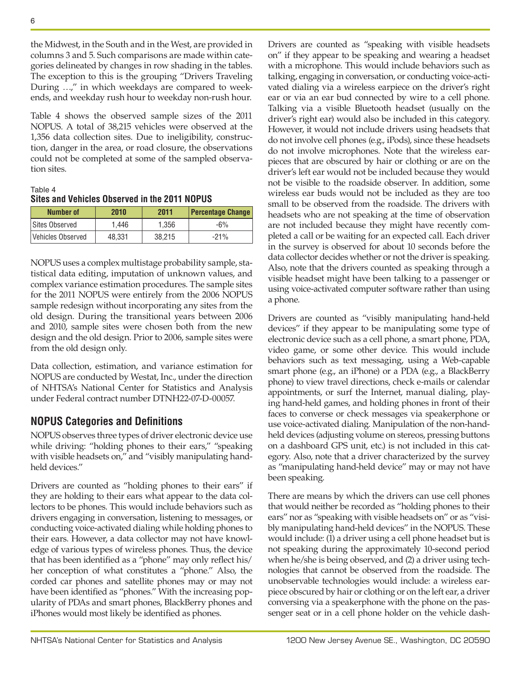the Midwest, in the South and in the West, are provided in columns 3 and 5. Such comparisons are made within categories delineated by changes in row shading in the tables. The exception to this is the grouping "Drivers Traveling During …," in which weekdays are compared to weekends, and weekday rush hour to weekday non-rush hour.

Table 4 shows the observed sample sizes of the 2011 NOPUS. A total of 38,215 vehicles were observed at the 1,356 data collection sites. Due to ineligibility, construction, danger in the area, or road closure, the observations could not be completed at some of the sampled observation sites.

Table 4 **Sites and Vehicles Observed in the 2011 NOPUS**

| <b>Number of</b>  | 2010   | 2011   | <b>Percentage Change</b> |
|-------------------|--------|--------|--------------------------|
| Sites Observed    | 1.446  | 1.356  | $-6\%$                   |
| Vehicles Observed | 48.331 | 38.215 | $-21%$                   |

NOPUS uses a complex multistage probability sample, statistical data editing, imputation of unknown values, and complex variance estimation procedures. The sample sites for the 2011 NOPUS were entirely from the 2006 NOPUS sample redesign without incorporating any sites from the old design. During the transitional years between 2006 and 2010, sample sites were chosen both from the new design and the old design. Prior to 2006, sample sites were from the old design only.

Data collection, estimation, and variance estimation for NOPUS are conducted by Westat, Inc., under the direction of NHTSA's National Center for Statistics and Analysis under Federal contract number DTNH22-07-D-00057.

### **NOPUS Categories and Definitions**

NOPUS observes three types of driver electronic device use while driving: "holding phones to their ears," "speaking with visible headsets on," and "visibly manipulating handheld devices."

Drivers are counted as "holding phones to their ears" if they are holding to their ears what appear to the data collectors to be phones. This would include behaviors such as drivers engaging in conversation, listening to messages, or conducting voice-activated dialing while holding phones to their ears. However, a data collector may not have knowledge of various types of wireless phones. Thus, the device that has been identified as a "phone" may only reflect his/ her conception of what constitutes a "phone." Also, the corded car phones and satellite phones may or may not have been identified as "phones." With the increasing popularity of PDAs and smart phones, BlackBerry phones and iPhones would most likely be identified as phones.

Drivers are counted as "speaking with visible headsets on" if they appear to be speaking and wearing a headset with a microphone. This would include behaviors such as talking, engaging in conversation, or conducting voice-activated dialing via a wireless earpiece on the driver's right ear or via an ear bud connected by wire to a cell phone. Talking via a visible Bluetooth headset (usually on the driver's right ear) would also be included in this category. However, it would not include drivers using headsets that do not involve cell phones (e.g., iPods), since these headsets do not involve microphones. Note that the wireless earpieces that are obscured by hair or clothing or are on the driver's left ear would not be included because they would not be visible to the roadside observer. In addition, some wireless ear buds would not be included as they are too small to be observed from the roadside. The drivers with headsets who are not speaking at the time of observation are not included because they might have recently completed a call or be waiting for an expected call. Each driver in the survey is observed for about 10 seconds before the data collector decides whether or not the driver is speaking. Also, note that the drivers counted as speaking through a visible headset might have been talking to a passenger or using voice-activated computer software rather than using a phone.

Drivers are counted as "visibly manipulating hand-held devices" if they appear to be manipulating some type of electronic device such as a cell phone, a smart phone, PDA, video game, or some other device. This would include behaviors such as text messaging, using a Web-capable smart phone (e.g., an iPhone) or a PDA (e.g., a BlackBerry phone) to view travel directions, check e-mails or calendar appointments, or surf the Internet, manual dialing, playing hand-held games, and holding phones in front of their faces to converse or check messages via speakerphone or use voice-activated dialing. Manipulation of the non-handheld devices (adjusting volume on stereos, pressing buttons on a dashboard GPS unit, etc.) is not included in this category. Also, note that a driver characterized by the survey as "manipulating hand-held device" may or may not have been speaking.

There are means by which the drivers can use cell phones that would neither be recorded as "holding phones to their ears" nor as "speaking with visible headsets on" or as "visibly manipulating hand-held devices" in the NOPUS. These would include: (1) a driver using a cell phone headset but is not speaking during the approximately 10-second period when he/she is being observed, and (2) a driver using technologies that cannot be observed from the roadside. The unobservable technologies would include: a wireless earpiece obscured by hair or clothing or on the left ear, a driver conversing via a speakerphone with the phone on the passenger seat or in a cell phone holder on the vehicle dash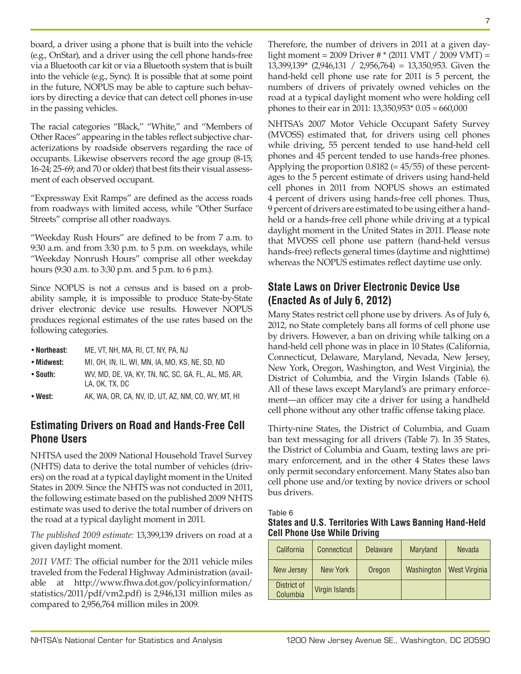board, a driver using a phone that is built into the vehicle (e.g., OnStar), and a driver using the cell phone hands-free via a Bluetooth car kit or via a Bluetooth system that is built into the vehicle (e.g., Sync). It is possible that at some point in the future, NOPUS may be able to capture such behaviors by directing a device that can detect cell phones in-use in the passing vehicles.

The racial categories "Black," "White," and "Members of Other Races" appearing in the tables reflect subjective characterizations by roadside observers regarding the race of occupants. Likewise observers record the age group (8-15; 16-24; 25-69; and 70 or older) that best fits their visual assessment of each observed occupant.

"Expressway Exit Ramps" are defined as the access roads from roadways with limited access, while "Other Surface Streets" comprise all other roadways.

"Weekday Rush Hours" are defined to be from 7 a.m. to 9:30 a.m. and from 3:30 p.m. to 5 p.m. on weekdays, while "Weekday Nonrush Hours" comprise all other weekday hours (9:30 a.m. to 3:30 p.m. and 5 p.m. to 6 p.m.).

Since NOPUS is not a census and is based on a probability sample, it is impossible to produce State-by-State driver electronic device use results. However NOPUS produces regional estimates of the use rates based on the following categories.

- **Northeast:** ME, VT, NH, MA, RI, CT, NY, PA, NJ
- **Midwest:** MI, OH, IN, IL, WI, MN, IA, MO, KS, NE, SD, ND
- **South:** WV, MD, DE, VA, KY, TN, NC, SC, GA, FL, AL, MS, AR, LA, OK, TX, DC
- **West:** AK, WA, OR, CA, NV, ID, UT, AZ, NM, CO, WY, MT, HI

# **Estimating Drivers on Road and Hands-Free Cell Phone Users**

NHTSA used the 2009 National Household Travel Survey (NHTS) data to derive the total number of vehicles (drivers) on the road at a typical daylight moment in the United States in 2009. Since the NHTS was not conducted in 2011, the following estimate based on the published 2009 NHTS estimate was used to derive the total number of drivers on the road at a typical daylight moment in 2011.

*The published 2009 estimate:* 13,399,139 drivers on road at a given daylight moment.

*2011 VMT:* The official number for the 2011 vehicle miles traveled from the Federal Highway Administration (available at [http://www.fhwa.dot.gov/policyinformation/](http://www.fhwa.dot.gov/policyinformation/statistics/2011/pdf/vm2.pdf) [statistics/2011/pdf/vm2.pdf](http://www.fhwa.dot.gov/policyinformation/statistics/2011/pdf/vm2.pdf)) is 2,946,131 million miles as compared to 2,956,764 million miles in 2009.

Therefore, the number of drivers in 2011 at a given daylight moment = 2009 Driver # \* (2011 VMT / 2009 VMT) = 13,399,139\* (2,946,131 / 2,956,764) = 13,350,953. Given the hand-held cell phone use rate for 2011 is 5 percent, the numbers of drivers of privately owned vehicles on the road at a typical daylight moment who were holding cell phones to their ear in 2011: 13,350,953\* 0.05 ≈ 660,000

NHTSA's 2007 Motor Vehicle Occupant Safety Survey (MVOSS) estimated that, for drivers using cell phones while driving, 55 percent tended to use hand-held cell phones and 45 percent tended to use hands-free phones. Applying the proportion  $0.8182 (= 45/55)$  of these percentages to the 5 percent estimate of drivers using hand-held cell phones in 2011 from NOPUS shows an estimated 4 percent of drivers using hands-free cell phones. Thus, 9 percent of drivers are estimated to be using either a handheld or a hands-free cell phone while driving at a typical daylight moment in the United States in 2011. Please note that MVOSS cell phone use pattern (hand-held versus hands-free) reflects general times (daytime and nighttime) whereas the NOPUS estimates reflect daytime use only.

# **State Laws on Driver Electronic Device Use (Enacted As of July 6, 2012)**

Many States restrict cell phone use by drivers. As of July 6, 2012, no State completely bans all forms of cell phone use by drivers. However, a ban on driving while talking on a hand-held cell phone was in place in 10 States (California, Connecticut, Delaware, Maryland, Nevada, New Jersey, New York, Oregon, Washington, and West Virginia), the District of Columbia, and the Virgin Islands (Table 6). All of these laws except Maryland's are primary enforcement—an officer may cite a driver for using a handheld cell phone without any other traffic offense taking place.

Thirty-nine States, the District of Columbia, and Guam ban text messaging for all drivers (Table 7). In 35 States, the District of Columbia and Guam, texting laws are primary enforcement, and in the other 4 States these laws only permit secondary enforcement. Many States also ban cell phone use and/or texting by novice drivers or school bus drivers.

Table 6

|                                     | States and U.S. Territories With Laws Banning Hand-Held |
|-------------------------------------|---------------------------------------------------------|
| <b>Cell Phone Use While Driving</b> |                                                         |

| California              | Connecticut    | <b>Delaware</b> | Maryland   | Nevada               |
|-------------------------|----------------|-----------------|------------|----------------------|
| <b>New Jersey</b>       | New York       | Oregon          | Washington | <b>West Virginia</b> |
| District of<br>Columbia | Virgin Islands |                 |            |                      |